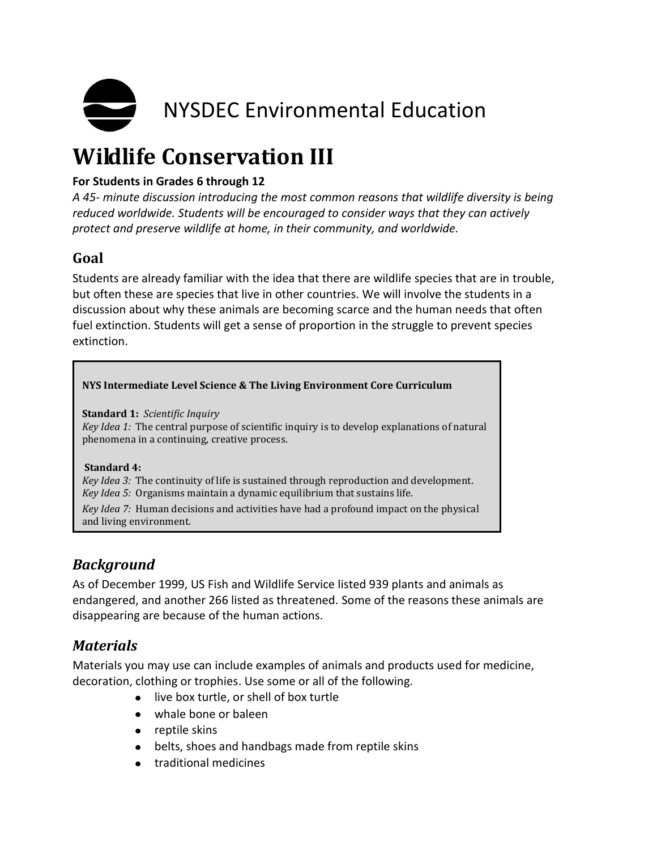

# **Wildlife Conservation III**

#### **For Students in Grades 6 through 12**

*A 45- minute discussion introducing the most common reasons that wildlife diversity is being reduced worldwide. Students will be encouraged to consider ways that they can actively protect and preserve wildlife at home, in their community, and worldwide.*

# **Goal**

Students are already familiar with the idea that there are wildlife species that are in trouble, but often these are species that live in other countries. We will involve the students in a discussion about why these animals are becoming scarce and the human needs that often fuel extinction. Students will get a sense of proportion in the struggle to prevent species extinction.

#### **NYS Intermediate Level Science & The Living Environment Core Curriculum**

**Standard 1:** *Scientific Inquiry*

*Key Idea 1:* The central purpose of scientific inquiry is to develop explanations of natural phenomena in a continuing, creative process.

#### **Standard 4:**

*Key Idea 3:* The continuity of life is sustained through reproduction and development. *Key Idea 5:* Organisms maintain a dynamic equilibrium that sustains life.

*Key Idea 7:* Human decisions and activities have had a profound impact on the physical and living environment.

## *Background*

As of December 1999, US Fish and Wildlife Service listed 939 plants and animals as endangered, and another 266 listed as threatened. Some of the reasons these animals are disappearing are because of the human actions.

## *Materials*

Materials you may use can include examples of animals and products used for medicine, decoration, clothing or trophies. Use some or all of the following.

- live box turtle, or shell of box turtle
- whale bone or baleen
- reptile skins
- belts, shoes and handbags made from reptile skins
- **•** traditional medicines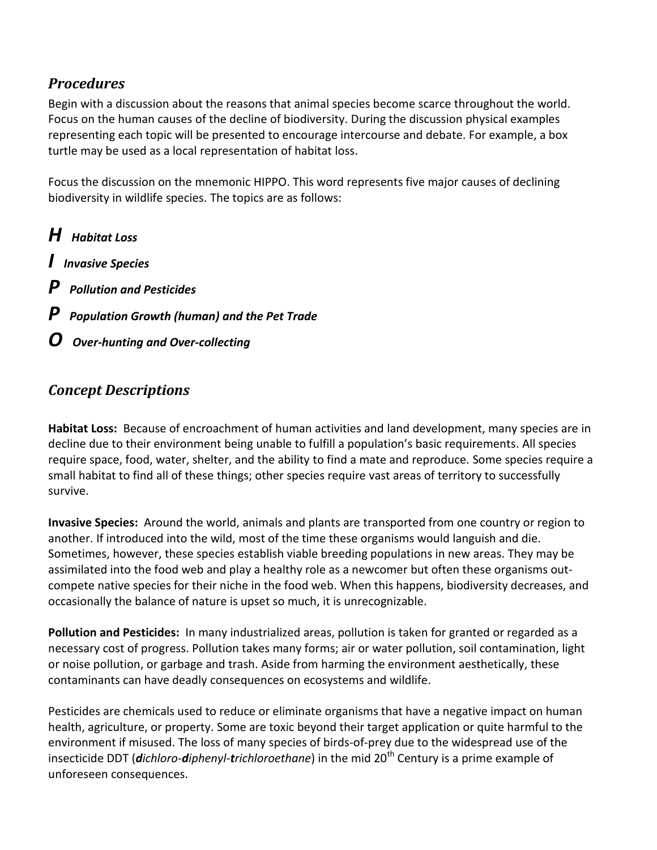## *Procedures*

Begin with a discussion about the reasons that animal species become scarce throughout the world. Focus on the human causes of the decline of biodiversity. During the discussion physical examples representing each topic will be presented to encourage intercourse and debate. For example, a box turtle may be used as a local representation of habitat loss.

Focus the discussion on the mnemonic HIPPO. This word represents five major causes of declining biodiversity in wildlife species. The topics are as follows:

- *H Habitat Loss*
- *I Invasive Species*
- *P Pollution and Pesticides*
- *P Population Growth (human) and the Pet Trade*
- *O Over-hunting and Over-collecting*

## *Concept Descriptions*

**Habitat Loss:** Because of encroachment of human activities and land development, many species are in decline due to their environment being unable to fulfill a population's basic requirements. All species require space, food, water, shelter, and the ability to find a mate and reproduce. Some species require a small habitat to find all of these things; other species require vast areas of territory to successfully survive.

**Invasive Species:** Around the world, animals and plants are transported from one country or region to another. If introduced into the wild, most of the time these organisms would languish and die. Sometimes, however, these species establish viable breeding populations in new areas. They may be assimilated into the food web and play a healthy role as a newcomer but often these organisms outcompete native species for their niche in the food web. When this happens, biodiversity decreases, and occasionally the balance of nature is upset so much, it is unrecognizable.

**Pollution and Pesticides:** In many industrialized areas, pollution is taken for granted or regarded as a necessary cost of progress. Pollution takes many forms; air or water pollution, soil contamination, light or noise pollution, or garbage and trash. Aside from harming the environment aesthetically, these contaminants can have deadly consequences on ecosystems and wildlife.

Pesticides are chemicals used to reduce or eliminate organisms that have a negative impact on human health, agriculture, or property. Some are toxic beyond their target application or quite harmful to the environment if misused. The loss of many species of birds-of-prey due to the widespread use of the insecticide DDT (*dichloro-diphenyl-trichloroethane*) in the mid 20<sup>th</sup> Century is a prime example of unforeseen consequences.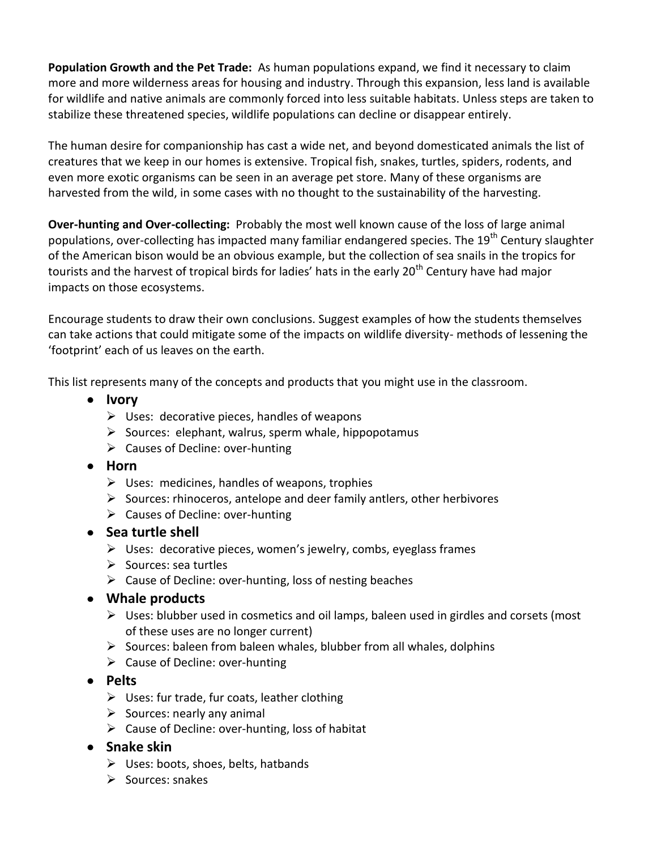**Population Growth and the Pet Trade:** As human populations expand, we find it necessary to claim more and more wilderness areas for housing and industry. Through this expansion, less land is available for wildlife and native animals are commonly forced into less suitable habitats. Unless steps are taken to stabilize these threatened species, wildlife populations can decline or disappear entirely.

The human desire for companionship has cast a wide net, and beyond domesticated animals the list of creatures that we keep in our homes is extensive. Tropical fish, snakes, turtles, spiders, rodents, and even more exotic organisms can be seen in an average pet store. Many of these organisms are harvested from the wild, in some cases with no thought to the sustainability of the harvesting.

**Over-hunting and Over-collecting:** Probably the most well known cause of the loss of large animal populations, over-collecting has impacted many familiar endangered species. The 19<sup>th</sup> Century slaughter of the American bison would be an obvious example, but the collection of sea snails in the tropics for tourists and the harvest of tropical birds for ladies' hats in the early 20<sup>th</sup> Century have had major impacts on those ecosystems.

Encourage students to draw their own conclusions. Suggest examples of how the students themselves can take actions that could mitigate some of the impacts on wildlife diversity- methods of lessening the 'footprint' each of us leaves on the earth.

This list represents many of the concepts and products that you might use in the classroom.

- **Ivory**
	- $\triangleright$  Uses: decorative pieces, handles of weapons
	- $\triangleright$  Sources: elephant, walrus, sperm whale, hippopotamus
	- $\triangleright$  Causes of Decline: over-hunting
- **Horn**
	- $\triangleright$  Uses: medicines, handles of weapons, trophies
	- $\triangleright$  Sources: rhinoceros, antelope and deer family antlers, other herbivores
	- $\triangleright$  Causes of Decline: over-hunting
- **Sea turtle shell** 
	- $\triangleright$  Uses: decorative pieces, women's jewelry, combs, eyeglass frames
	- $\triangleright$  Sources: sea turtles
	- $\triangleright$  Cause of Decline: over-hunting, loss of nesting beaches
- **Whale products** 
	- $\triangleright$  Uses: blubber used in cosmetics and oil lamps, baleen used in girdles and corsets (most of these uses are no longer current)
	- $\triangleright$  Sources: baleen from baleen whales, blubber from all whales, dolphins
	- $\triangleright$  Cause of Decline: over-hunting
- **Pelts** 
	- $\triangleright$  Uses: fur trade, fur coats, leather clothing
	- $\triangleright$  Sources: nearly any animal
	- $\triangleright$  Cause of Decline: over-hunting, loss of habitat
- **•** Snake skin
	- $\triangleright$  Uses: boots, shoes, belts, hatbands
	- $\triangleright$  Sources: snakes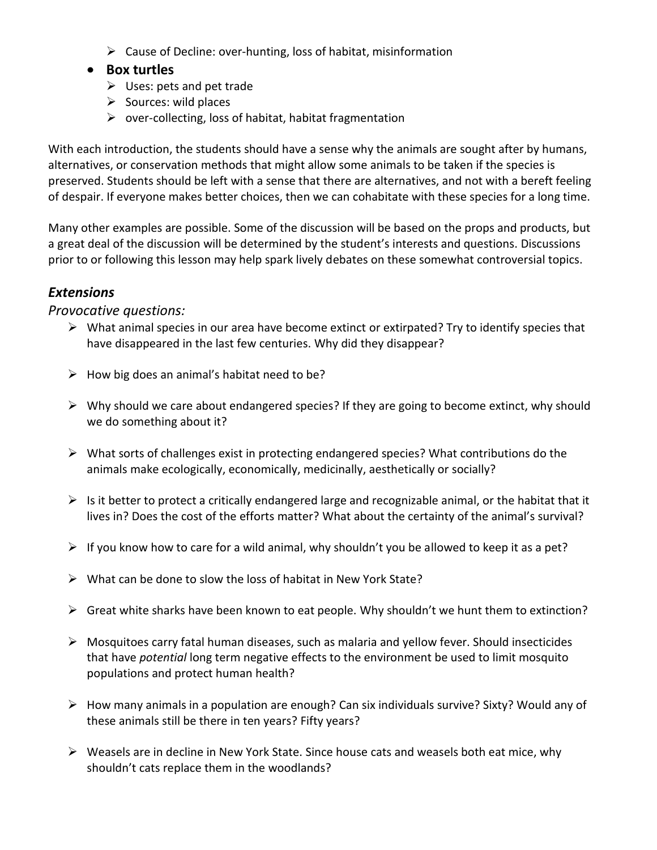$\triangleright$  Cause of Decline: over-hunting, loss of habitat, misinformation

#### **Box turtles**

- $\triangleright$  Uses: pets and pet trade
- $\triangleright$  Sources: wild places
- $\triangleright$  over-collecting, loss of habitat, habitat fragmentation

With each introduction, the students should have a sense why the animals are sought after by humans, alternatives, or conservation methods that might allow some animals to be taken if the species is preserved. Students should be left with a sense that there are alternatives, and not with a bereft feeling of despair. If everyone makes better choices, then we can cohabitate with these species for a long time.

Many other examples are possible. Some of the discussion will be based on the props and products, but a great deal of the discussion will be determined by the student's interests and questions. Discussions prior to or following this lesson may help spark lively debates on these somewhat controversial topics.

### *Extensions*

#### *Provocative questions:*

- $\triangleright$  What animal species in our area have become extinct or extirpated? Try to identify species that have disappeared in the last few centuries. Why did they disappear?
- $\triangleright$  How big does an animal's habitat need to be?
- $\triangleright$  Why should we care about endangered species? If they are going to become extinct, why should we do something about it?
- $\triangleright$  What sorts of challenges exist in protecting endangered species? What contributions do the animals make ecologically, economically, medicinally, aesthetically or socially?
- $\triangleright$  Is it better to protect a critically endangered large and recognizable animal, or the habitat that it lives in? Does the cost of the efforts matter? What about the certainty of the animal's survival?
- $\triangleright$  If you know how to care for a wild animal, why shouldn't you be allowed to keep it as a pet?
- $\triangleright$  What can be done to slow the loss of habitat in New York State?
- $\triangleright$  Great white sharks have been known to eat people. Why shouldn't we hunt them to extinction?
- $\triangleright$  Mosquitoes carry fatal human diseases, such as malaria and yellow fever. Should insecticides that have *potential* long term negative effects to the environment be used to limit mosquito populations and protect human health?
- $\triangleright$  How many animals in a population are enough? Can six individuals survive? Sixty? Would any of these animals still be there in ten years? Fifty years?
- $\triangleright$  Weasels are in decline in New York State. Since house cats and weasels both eat mice, why shouldn't cats replace them in the woodlands?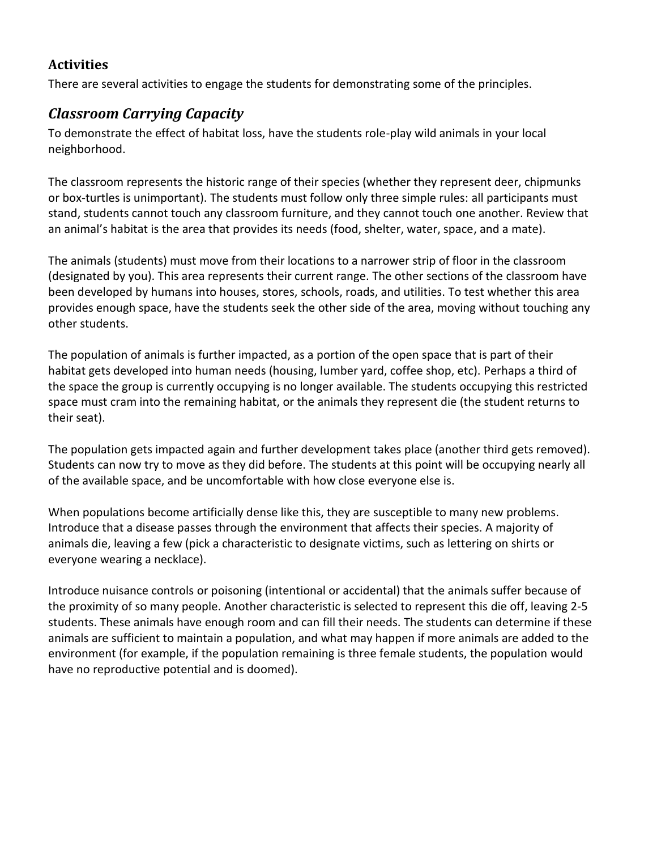### **Activities**

There are several activities to engage the students for demonstrating some of the principles.

# *Classroom Carrying Capacity*

To demonstrate the effect of habitat loss, have the students role-play wild animals in your local neighborhood.

The classroom represents the historic range of their species (whether they represent deer, chipmunks or box-turtles is unimportant). The students must follow only three simple rules: all participants must stand, students cannot touch any classroom furniture, and they cannot touch one another. Review that an animal's habitat is the area that provides its needs (food, shelter, water, space, and a mate).

The animals (students) must move from their locations to a narrower strip of floor in the classroom (designated by you). This area represents their current range. The other sections of the classroom have been developed by humans into houses, stores, schools, roads, and utilities. To test whether this area provides enough space, have the students seek the other side of the area, moving without touching any other students.

The population of animals is further impacted, as a portion of the open space that is part of their habitat gets developed into human needs (housing, lumber yard, coffee shop, etc). Perhaps a third of the space the group is currently occupying is no longer available. The students occupying this restricted space must cram into the remaining habitat, or the animals they represent die (the student returns to their seat).

The population gets impacted again and further development takes place (another third gets removed). Students can now try to move as they did before. The students at this point will be occupying nearly all of the available space, and be uncomfortable with how close everyone else is.

When populations become artificially dense like this, they are susceptible to many new problems. Introduce that a disease passes through the environment that affects their species. A majority of animals die, leaving a few (pick a characteristic to designate victims, such as lettering on shirts or everyone wearing a necklace).

Introduce nuisance controls or poisoning (intentional or accidental) that the animals suffer because of the proximity of so many people. Another characteristic is selected to represent this die off, leaving 2-5 students. These animals have enough room and can fill their needs. The students can determine if these animals are sufficient to maintain a population, and what may happen if more animals are added to the environment (for example, if the population remaining is three female students, the population would have no reproductive potential and is doomed).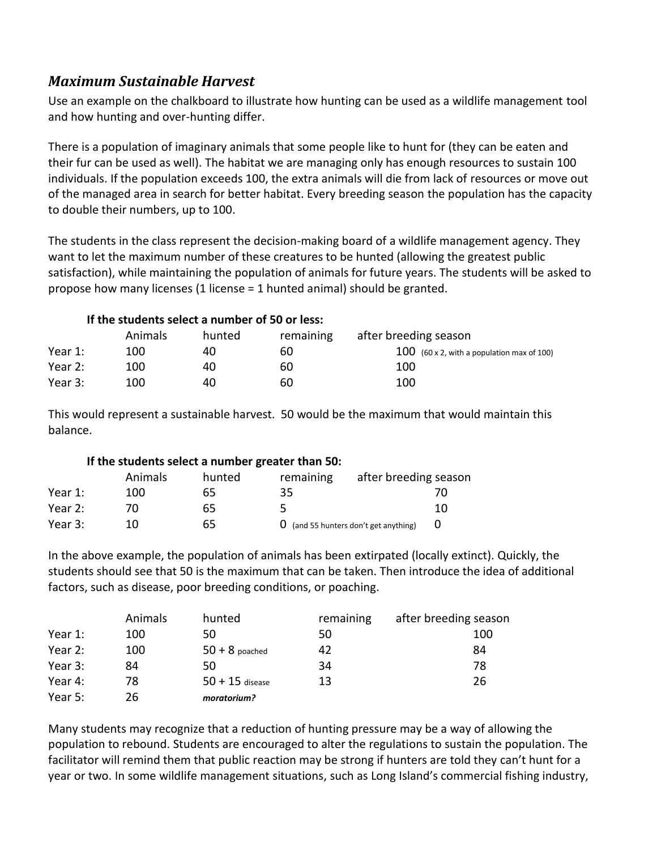## *Maximum Sustainable Harvest*

Use an example on the chalkboard to illustrate how hunting can be used as a wildlife management tool and how hunting and over-hunting differ.

There is a population of imaginary animals that some people like to hunt for (they can be eaten and their fur can be used as well). The habitat we are managing only has enough resources to sustain 100 individuals. If the population exceeds 100, the extra animals will die from lack of resources or move out of the managed area in search for better habitat. Every breeding season the population has the capacity to double their numbers, up to 100.

The students in the class represent the decision-making board of a wildlife management agency. They want to let the maximum number of these creatures to be hunted (allowing the greatest public satisfaction), while maintaining the population of animals for future years. The students will be asked to propose how many licenses (1 license = 1 hunted animal) should be granted.

#### **If the students select a number of 50 or less:**

|         | <b>Animals</b> | hunted | remaining | after breeding season                        |
|---------|----------------|--------|-----------|----------------------------------------------|
| Year 1: | 100            | 40     | 60        | $100$ (60 x 2, with a population max of 100) |
| Year 2: | 100            | 40     | 60        | 100                                          |
| Year 3: | 100            | 40     | 60        | 100                                          |

This would represent a sustainable harvest. 50 would be the maximum that would maintain this balance.

## **If the students select a number greater than 50:**

|         | <b>Animals</b> | hunted | remaining | after breeding season                           |    |
|---------|----------------|--------|-----------|-------------------------------------------------|----|
| Year 1: | 100            | 65     | 35        |                                                 |    |
| Year 2: |                | 65     |           |                                                 | 10 |
| Year 3: | 10             | 65     |           | $\mathbf 0$ (and 55 hunters don't get anything) |    |

In the above example, the population of animals has been extirpated (locally extinct). Quickly, the students should see that 50 is the maximum that can be taken. Then introduce the idea of additional factors, such as disease, poor breeding conditions, or poaching.

|         | Animals | hunted            | remaining | after breeding season |
|---------|---------|-------------------|-----------|-----------------------|
| Year 1: | 100     | 50                | 50        | 100                   |
| Year 2: | 100     | $50 + 8$ poached  | 42        | 84                    |
| Year 3: | 84      | 50                | 34        | 78                    |
| Year 4: | 78      | $50 + 15$ disease | 13        | 26                    |
| Year 5: | 26      | moratorium?       |           |                       |

Many students may recognize that a reduction of hunting pressure may be a way of allowing the population to rebound. Students are encouraged to alter the regulations to sustain the population. The facilitator will remind them that public reaction may be strong if hunters are told they can't hunt for a year or two. In some wildlife management situations, such as Long Island's commercial fishing industry,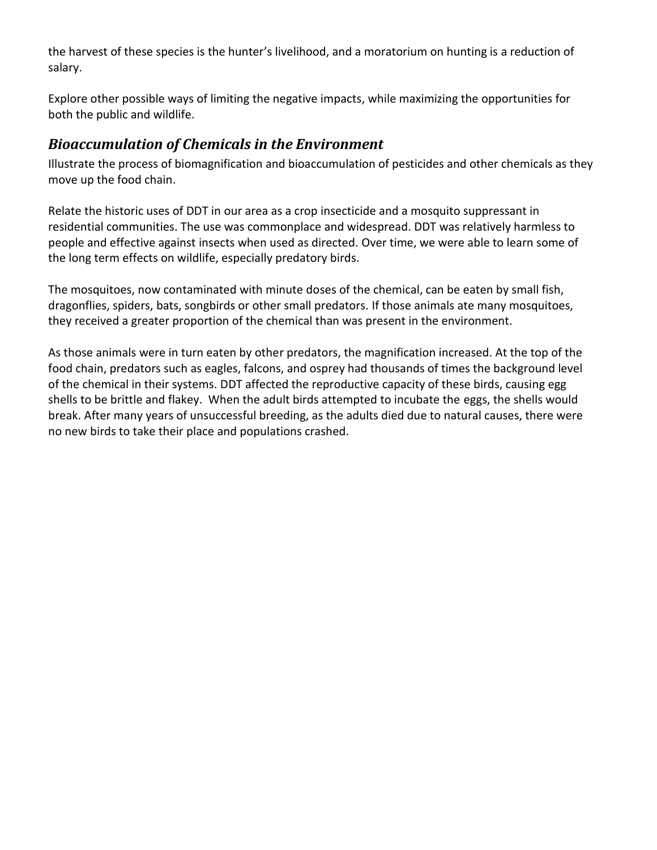the harvest of these species is the hunter's livelihood, and a moratorium on hunting is a reduction of salary.

Explore other possible ways of limiting the negative impacts, while maximizing the opportunities for both the public and wildlife.

## *Bioaccumulation of Chemicals in the Environment*

Illustrate the process of biomagnification and bioaccumulation of pesticides and other chemicals as they move up the food chain.

Relate the historic uses of DDT in our area as a crop insecticide and a mosquito suppressant in residential communities. The use was commonplace and widespread. DDT was relatively harmless to people and effective against insects when used as directed. Over time, we were able to learn some of the long term effects on wildlife, especially predatory birds.

The mosquitoes, now contaminated with minute doses of the chemical, can be eaten by small fish, dragonflies, spiders, bats, songbirds or other small predators. If those animals ate many mosquitoes, they received a greater proportion of the chemical than was present in the environment.

As those animals were in turn eaten by other predators, the magnification increased. At the top of the food chain, predators such as eagles, falcons, and osprey had thousands of times the background level of the chemical in their systems. DDT affected the reproductive capacity of these birds, causing egg shells to be brittle and flakey. When the adult birds attempted to incubate the eggs, the shells would break. After many years of unsuccessful breeding, as the adults died due to natural causes, there were no new birds to take their place and populations crashed.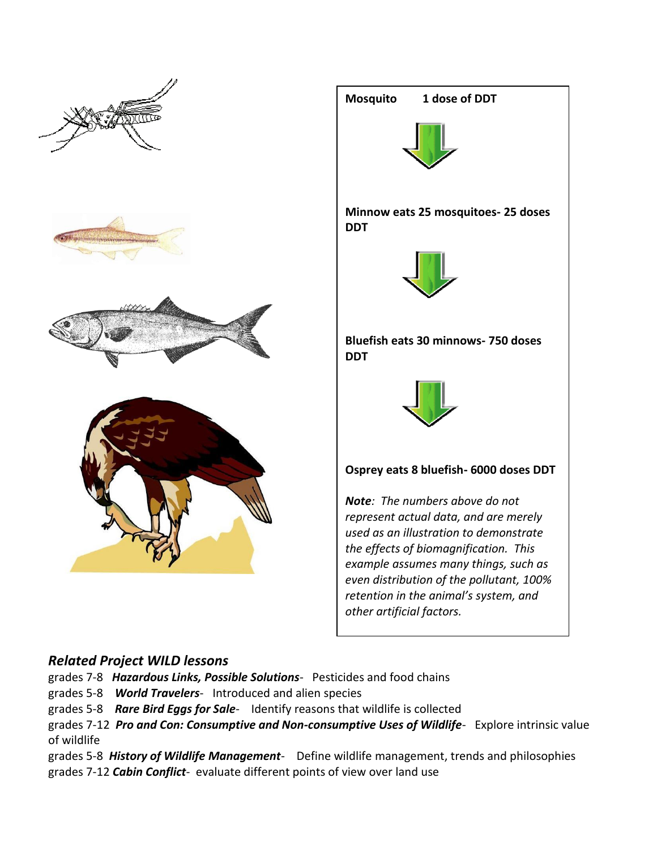



## *Related Project WILD lessons*

- grades 7-8 *Hazardous Links, Possible Solutions* Pesticides and food chains
- grades 5-8 *World Travelers* Introduced and alien species
- grades 5-8 *Rare Bird Eggs for Sale* Identify reasons that wildlife is collected
- grades 7-12 *Pro and Con: Consumptive and Non-consumptive Uses of Wildlife* Explore intrinsic value of wildlife
- grades 5-8 *History of Wildlife Management* Define wildlife management, trends and philosophies grades 7-12 *Cabin Conflict*- evaluate different points of view over land use